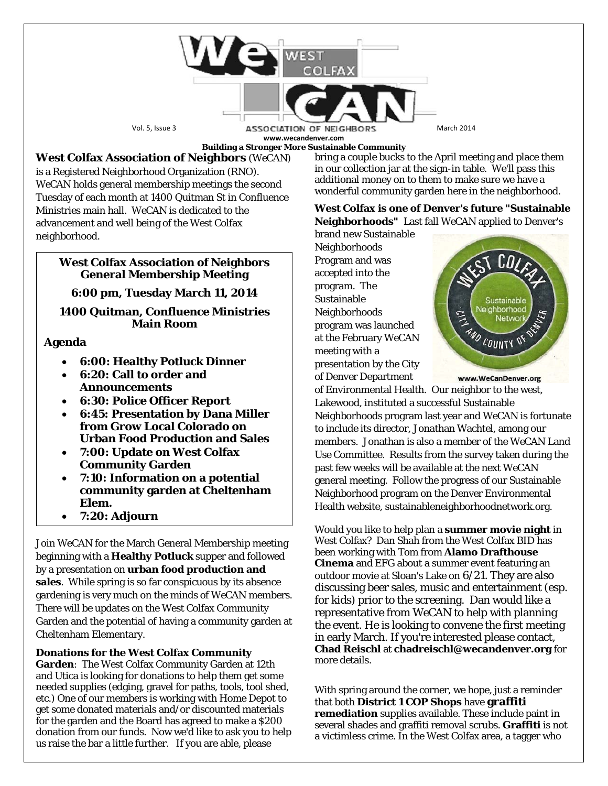

**Building a Stronger More Sustainable Community**

# **West Colfax Association of Neighbors** (*WeCAN*)

is a Registered Neighborhood Organization (RNO). *WeCAN* holds general membership meetings the second Tuesday of each month at 1400 Quitman St in Confluence Ministries main hall. *WeCAN* is dedicated to the advancement and well being of the West Colfax neighborhood.

## **West Colfax Association of Neighbors General Membership Meeting**

## **6:00 pm, Tuesday March 11, 2014**

## **1400 Quitman, Confluence Ministries Main Room**

## **Agenda**

- **6:00: Healthy Potluck Dinner**
- **6:20: Call to order and Announcements**
- **6:30: Police Officer Report**
- **6:45: Presentation by Dana Miller from Grow Local Colorado on Urban Food Production and Sales**
- **7:00: Update on West Colfax Community Garden**
- **7:10: Information on a potential community garden at Cheltenham Elem.**
- **7:20: Adjourn**

Join *WeCAN* for the March General Membership meeting beginning with a **Healthy Potluck** supper and followed by a presentation on **urban food production and sales**. While spring is so far conspicuous by its absence gardening is very much on the minds of *WeCAN* members. There will be updates on the West Colfax Community Garden and the potential of having a community garden at Cheltenham Elementary.

**Donations for the West Colfax Community Garden**: The West Colfax Community Garden at 12th and Utica is looking for donations to help them get some needed supplies (edging, gravel for paths, tools, tool shed, etc.) One of our members is working with Home Depot to get some donated materials and/or discounted materials for the garden and the Board has agreed to make a \$200 donation from our funds. Now we'd like to ask you to help us raise the bar a little further. If you are able, please

bring a couple bucks to the April meeting and place them in our collection jar at the sign-in table. We'll pass this additional money on to them to make sure we have a wonderful community garden here in the neighborhood.

#### **West Colfax is one of Denver's future "Sustainable Neighborhoods"** Last fall *WeCAN* applied to Denver's

brand new Sustainable Neighborhoods Program and was accepted into the program. The Sustainable Neighborhoods program was launched at the February *WeCAN* meeting with a presentation by the City of Denver Department



www.WeCanDenver.org

of Environmental Health. Our neighbor to the west, Lakewood, instituted a successful Sustainable Neighborhoods program last year and *WeCAN* is fortunate to include its director, Jonathan Wachtel, among our members. Jonathan is also a member of the *WeCAN* Land Use Committee. Results from the survey taken during the past few weeks will be available at the next *WeCAN* general meeting. Follow the progress of our Sustainable Neighborhood program on the Denver Environmental Health website, sustainableneighborhoodnetwork.org.

Would you like to help plan a **summer movie night** in West Colfax? Dan Shah from the West Colfax BID has been working with Tom from **Alamo Drafthouse Cinema** and EFG about a summer event featuring an outdoor movie at Sloan's Lake on 6/21. They are also discussing beer sales, music and entertainment (esp. for kids) prior to the screening. Dan would like a representative from WeCAN to help with planning the event. He is looking to convene the first meeting in early March. If you're interested please contact, **Chad Reischl** at **chadreischl@wecandenver.org** for more details.

With spring around the corner, we hope, just a reminder that both **District 1 COP Shops** have **graffiti remediation** supplies available. These include paint in several shades and graffiti removal scrubs. **Graffiti** is not a victimless crime. In the West Colfax area, a tagger who